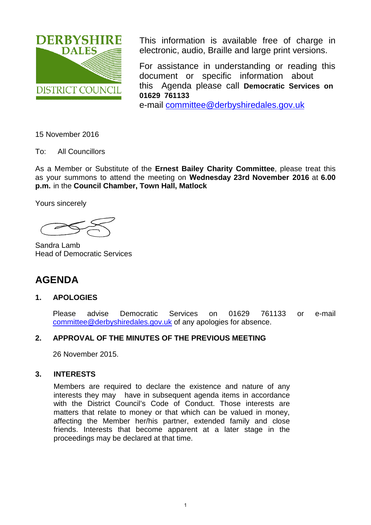

This information is available free of charge in electronic, audio, Braille and large print versions.

For assistance in understanding or reading this document or specific information about this Agenda please call **Democratic Services on 01629 761133**

e-mail [committee@derbyshiredales.gov.uk](mailto:committee@derbyshiredales.gov.uk)

15 November 2016

To: All Councillors

As a Member or Substitute of the **Ernest Bailey Charity Committee**, please treat this as your summons to attend the meeting on **Wednesday 23rd November 2016** at **6.00 p.m.** in the **Council Chamber, Town Hall, Matlock** 

Yours sincerely

Sandra Lamb Head of Democratic Services

# **AGENDA**

# **1. APOLOGIES**

Please advise Democratic Services on 01629 761133 or e-mail [committee@derbyshiredales.gov.uk](mailto:committee@derbyshiredales.gov.uk) of any apologies for absence.

# **2. APPROVAL OF THE MINUTES OF THE PREVIOUS MEETING**

26 November 2015.

# **3. INTERESTS**

Members are required to declare the existence and nature of any interests they may have in subsequent agenda items in accordance with the District Council's Code of Conduct. Those interests are matters that relate to money or that which can be valued in money, affecting the Member her/his partner, extended family and close friends. Interests that become apparent at a later stage in the proceedings may be declared at that time.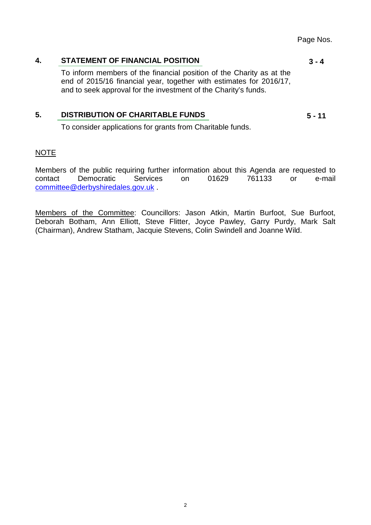Page Nos.

**3 - 4**

#### **4. [STATEMENT OF FINANCIAL POSITION](#page-2-0)**

To inform members of the financial position of the Charity as at the end of 2015/16 financial year, together with estimates for 2016/17, and to seek approval for the investment of the Charity's funds.

# **5. [DISTRIBUTION OF CHARITABLE FUNDS](#page-4-0)**

To consider applications for grants from Charitable funds.

## NOTE

Members of the public requiring further information about this Agenda are requested to contact Democratic Services on 01629 761133 or e-mail [committee@derbyshiredales.gov.uk](mailto:committee@derbyshiredales.gov.uk) .

Members of the Committee: Councillors: Jason Atkin, Martin Burfoot, Sue Burfoot, Deborah Botham, Ann Elliott, Steve Flitter, Joyce Pawley, Garry Purdy, Mark Salt (Chairman), Andrew Statham, Jacquie Stevens, Colin Swindell and Joanne Wild.

**5 - 11**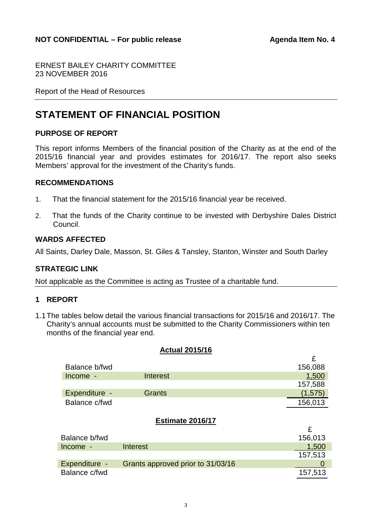£

<span id="page-2-0"></span>ERNEST BAILEY CHARITY COMMITTEE 23 NOVEMBER 2016

Report of the Head of Resources

# **STATEMENT OF FINANCIAL POSITION**

# **PURPOSE OF REPORT**

This report informs Members of the financial position of the Charity as at the end of the 2015/16 financial year and provides estimates for 2016/17. The report also seeks Members' approval for the investment of the Charity's funds.

#### **RECOMMENDATIONS**

- 1. That the financial statement for the 2015/16 financial year be received.
- 2. That the funds of the Charity continue to be invested with Derbyshire Dales District Council.

#### **WARDS AFFECTED**

All Saints, Darley Dale, Masson, St. Giles & Tansley, Stanton, Winster and South Darley

## **STRATEGIC LINK**

Not applicable as the Committee is acting as Trustee of a charitable fund.

## **1 REPORT**

1.1The tables below detail the various financial transactions for 2015/16 and 2016/17. The Charity's annual accounts must be submitted to the Charity Commissioners within ten months of the financial year end.

#### **Actual 2015/16**

| Balance b/fwd |          | 156,088  |
|---------------|----------|----------|
| Income -      | Interest | 1,500    |
|               |          | 157,588  |
| Expenditure - | Grants   | (1, 575) |
| Balance c/fwd |          | 156,013  |

#### **Estimate 2016/17**

| Balance b/fwd |                                   | 156,013 |
|---------------|-----------------------------------|---------|
| Income -      | Interest                          | 1.500   |
|               |                                   | 157,513 |
| Expenditure - | Grants approved prior to 31/03/16 |         |
| Balance c/fwd |                                   | 157,513 |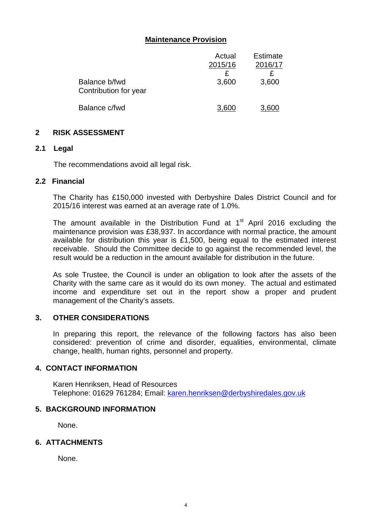# **Maintenance Provision**

|                                        | Actual  | <b>Estimate</b> |
|----------------------------------------|---------|-----------------|
|                                        | 2015/16 | 2016/17         |
|                                        |         |                 |
| Balance b/fwd<br>Contribution for year | 3,600   | 3,600           |
| Balance c/fwd                          | 3.600   | 3,600           |

#### **2 RISK ASSESSMENT**

#### **2.1 Legal**

The recommendations avoid all legal risk.

#### **2.2 Financial**

The Charity has £150,000 invested with Derbyshire Dales District Council and for 2015/16 interest was earned at an average rate of 1.0%.

The amount available in the Distribution Fund at  $1<sup>st</sup>$  April 2016 excluding the maintenance provision was £38,937. In accordance with normal practice, the amount available for distribution this year is £1,500, being equal to the estimated interest receivable. Should the Committee decide to go against the recommended level, the result would be a reduction in the amount available for distribution in the future.

As sole Trustee, the Council is under an obligation to look after the assets of the Charity with the same care as it would do its own money. The actual and estimated income and expenditure set out in the report show a proper and prudent management of the Charity's assets.

# **3. OTHER CONSIDERATIONS**

In preparing this report, the relevance of the following factors has also been considered: prevention of crime and disorder, equalities, environmental, climate change, health, human rights, personnel and property.

#### **4. CONTACT INFORMATION**

Karen Henriksen, Head of Resources Telephone: 01629 761284; Email: [karen.henriksen@derbyshiredales.gov.uk](mailto:karen.henriksen@derbyshiredales.gov.uk)

# **5. BACKGROUND INFORMATION**

None.

# **6. ATTACHMENTS**

None.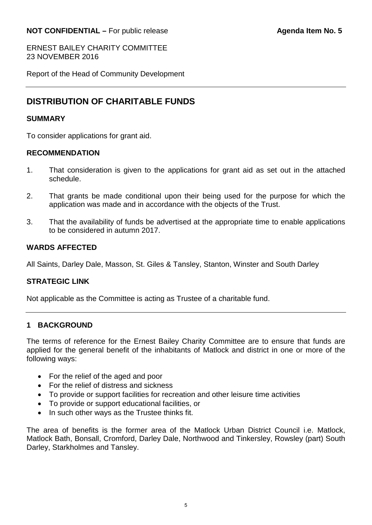# <span id="page-4-0"></span>**NOT CONFIDENTIAL –** For public release **Agenda Item No. 5**

ERNEST BAILEY CHARITY COMMITTEE 23 NOVEMBER 2016

Report of the Head of Community Development

# **DISTRIBUTION OF CHARITABLE FUNDS**

## **SUMMARY**

To consider applications for grant aid.

## **RECOMMENDATION**

- 1. That consideration is given to the applications for grant aid as set out in the attached schedule.
- 2. That grants be made conditional upon their being used for the purpose for which the application was made and in accordance with the objects of the Trust.
- 3. That the availability of funds be advertised at the appropriate time to enable applications to be considered in autumn 2017.

# **WARDS AFFECTED**

All Saints, Darley Dale, Masson, St. Giles & Tansley, Stanton, Winster and South Darley

## **STRATEGIC LINK**

Not applicable as the Committee is acting as Trustee of a charitable fund.

## **1 BACKGROUND**

The terms of reference for the Ernest Bailey Charity Committee are to ensure that funds are applied for the general benefit of the inhabitants of Matlock and district in one or more of the following ways:

- For the relief of the aged and poor
- For the relief of distress and sickness
- To provide or support facilities for recreation and other leisure time activities
- To provide or support educational facilities, or
- In such other ways as the Trustee thinks fit.

The area of benefits is the former area of the Matlock Urban District Council i.e. Matlock, Matlock Bath, Bonsall, Cromford, Darley Dale, Northwood and Tinkersley, Rowsley (part) South Darley, Starkholmes and Tansley.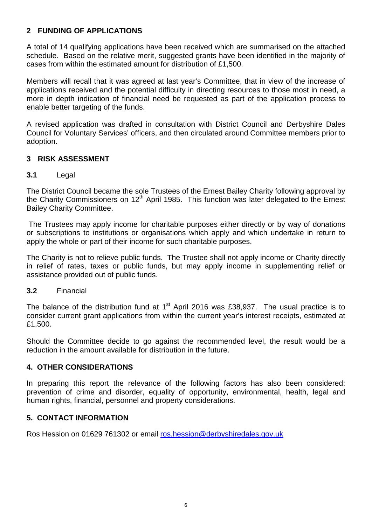# **2 FUNDING OF APPLICATIONS**

A total of 14 qualifying applications have been received which are summarised on the attached schedule. Based on the relative merit, suggested grants have been identified in the majority of cases from within the estimated amount for distribution of £1,500.

Members will recall that it was agreed at last year's Committee, that in view of the increase of applications received and the potential difficulty in directing resources to those most in need, a more in depth indication of financial need be requested as part of the application process to enable better targeting of the funds.

A revised application was drafted in consultation with District Council and Derbyshire Dales Council for Voluntary Services' officers, and then circulated around Committee members prior to adoption.

# **3 RISK ASSESSMENT**

# **3.1** Legal

The District Council became the sole Trustees of the Ernest Bailey Charity following approval by the Charity Commissioners on  $12<sup>th</sup>$  April 1985. This function was later delegated to the Ernest Bailey Charity Committee.

The Trustees may apply income for charitable purposes either directly or by way of donations or subscriptions to institutions or organisations which apply and which undertake in return to apply the whole or part of their income for such charitable purposes.

The Charity is not to relieve public funds. The Trustee shall not apply income or Charity directly in relief of rates, taxes or public funds, but may apply income in supplementing relief or assistance provided out of public funds.

## **3.2** Financial

The balance of the distribution fund at  $1<sup>st</sup>$  April 2016 was £38,937. The usual practice is to consider current grant applications from within the current year's interest receipts, estimated at £1,500.

Should the Committee decide to go against the recommended level, the result would be a reduction in the amount available for distribution in the future.

## **4. OTHER CONSIDERATIONS**

In preparing this report the relevance of the following factors has also been considered: prevention of crime and disorder, equality of opportunity, environmental, health, legal and human rights, financial, personnel and property considerations.

## **5. CONTACT INFORMATION**

Ros Hession on 01629 761302 or email [ros.hession@derbyshiredales.gov.uk](mailto:ros.hession@derbyshiredales.gov.uk)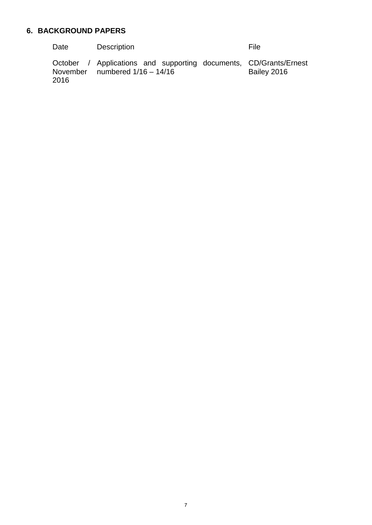# **6. BACKGROUND PAPERS**

| Date | Description                                                                                           | <b>File</b> |
|------|-------------------------------------------------------------------------------------------------------|-------------|
| 2016 | October / Applications and supporting documents, CD/Grants/Ernest<br>November numbered $1/16 - 14/16$ | Bailey 2016 |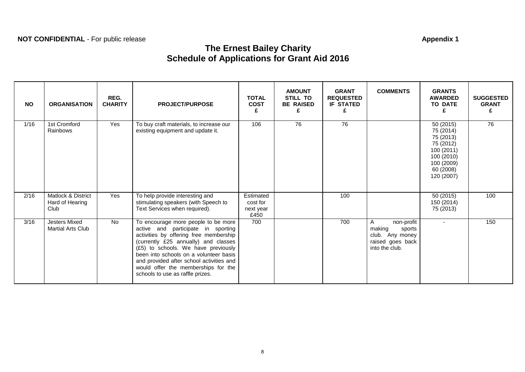# **NOT CONFIDENTIAL** - For public release **Appendix 1**

# **The Ernest Bailey Charity Schedule of Applications for Grant Aid 2016**

| <b>NO</b> | <b>ORGANISATION</b>                              | REG.<br><b>CHARITY</b> | <b>PROJECT/PURPOSE</b>                                                                                                                                                                                                                                                                                                                                              | <b>TOTAL</b><br><b>COST</b><br>£           | <b>AMOUNT</b><br>STILL TO<br><b>BE RAISED</b><br>£ | <b>GRANT</b><br><b>REQUESTED</b><br><b>IF STATED</b><br>£ | <b>COMMENTS</b>                                                                              | <b>GRANTS</b><br><b>AWARDED</b><br><b>TO DATE</b>                                                                     | <b>SUGGESTED</b><br><b>GRANT</b><br>£ |
|-----------|--------------------------------------------------|------------------------|---------------------------------------------------------------------------------------------------------------------------------------------------------------------------------------------------------------------------------------------------------------------------------------------------------------------------------------------------------------------|--------------------------------------------|----------------------------------------------------|-----------------------------------------------------------|----------------------------------------------------------------------------------------------|-----------------------------------------------------------------------------------------------------------------------|---------------------------------------|
| 1/16      | 1st Cromford<br>Rainbows                         | Yes                    | To buy craft materials, to increase our<br>existing equipment and update it.                                                                                                                                                                                                                                                                                        | 106                                        | 76                                                 | 76                                                        |                                                                                              | 50 (2015)<br>75 (2014)<br>75 (2013)<br>75 (2012)<br>100 (2011)<br>100 (2010)<br>100 (2009)<br>60 (2008)<br>120 (2007) | 76                                    |
| 2/16      | Matlock & District<br>Hard of Hearing<br>Club    | Yes                    | To help provide interesting and<br>stimulating speakers (with Speech to<br>Text Services when required).                                                                                                                                                                                                                                                            | Estimated<br>cost for<br>next year<br>£450 |                                                    | 100                                                       |                                                                                              | 50 (2015)<br>150 (2014)<br>75 (2013)                                                                                  | 100                                   |
| 3/16      | <b>Jesters Mixed</b><br><b>Martial Arts Club</b> | No.                    | To encourage more people to be more<br>active and participate in sporting<br>activities by offering free membership<br>(currently £25 annually) and classes<br>(£5) to schools. We have previously<br>been into schools on a volunteer basis<br>and provided after school activities and<br>would offer the memberships for the<br>schools to use as raffle prizes. | 700                                        |                                                    | 700                                                       | A<br>non-profit<br>making<br>sports<br>club. Any money<br>raised goes back<br>into the club. | $\overline{\phantom{a}}$                                                                                              | 150                                   |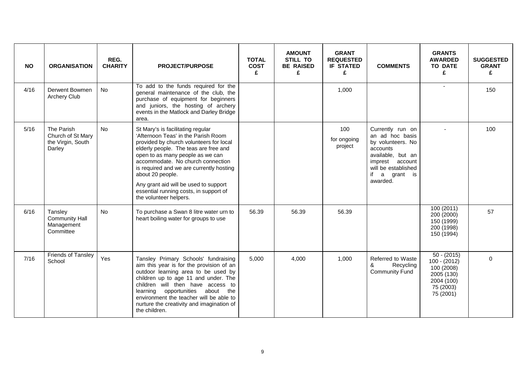| <b>NO</b> | <b>ORGANISATION</b>                                            | REG.<br><b>CHARITY</b> | <b>PROJECT/PURPOSE</b>                                                                                                                                                                                                                                                                                                                                                                                             | <b>TOTAL</b><br><b>COST</b><br>£ | <b>AMOUNT</b><br><b>STILL TO</b><br><b>BE RAISED</b><br>£ | <b>GRANT</b><br><b>REQUESTED</b><br><b>IF STATED</b><br>£ | <b>COMMENTS</b>                                                                                                                                                     | <b>GRANTS</b><br><b>AWARDED</b><br><b>TO DATE</b><br>£                                              | <b>SUGGESTED</b><br><b>GRANT</b><br>£ |
|-----------|----------------------------------------------------------------|------------------------|--------------------------------------------------------------------------------------------------------------------------------------------------------------------------------------------------------------------------------------------------------------------------------------------------------------------------------------------------------------------------------------------------------------------|----------------------------------|-----------------------------------------------------------|-----------------------------------------------------------|---------------------------------------------------------------------------------------------------------------------------------------------------------------------|-----------------------------------------------------------------------------------------------------|---------------------------------------|
| 4/16      | Derwent Bowmen<br><b>Archery Club</b>                          | No.                    | To add to the funds required for the<br>general maintenance of the club, the<br>purchase of equipment for beginners<br>and juniors, the hosting of archery<br>events in the Matlock and Darley Bridge<br>area.                                                                                                                                                                                                     |                                  |                                                           | 1,000                                                     |                                                                                                                                                                     |                                                                                                     | 150                                   |
| 5/16      | The Parish<br>Church of St Mary<br>the Virgin, South<br>Darley | <b>No</b>              | St Mary's is facilitating regular<br>'Afternoon Teas' in the Parish Room<br>provided by church volunteers for local<br>elderly people. The teas are free and<br>open to as many people as we can<br>accommodate. No church connection<br>is required and we are currently hosting<br>about 20 people.<br>Any grant aid will be used to support<br>essential running costs, in support of<br>the volunteer helpers. |                                  |                                                           | 100<br>for ongoing<br>project                             | Currently run on<br>an ad hoc basis<br>by volunteers. No<br>accounts<br>available, but an<br>imprest account<br>will be established<br>if<br>a grant is<br>awarded. |                                                                                                     | 100                                   |
| 6/16      | Tansley<br><b>Community Hall</b><br>Management<br>Committee    | <b>No</b>              | To purchase a Swan 8 litre water urn to<br>heart boiling water for groups to use                                                                                                                                                                                                                                                                                                                                   | 56.39                            | 56.39                                                     | 56.39                                                     |                                                                                                                                                                     | 100 (2011)<br>200 (2000)<br>150 (1999)<br>200 (1998)<br>150 (1994)                                  | 57                                    |
| 7/16      | Friends of Tansley<br>School                                   | Yes                    | Tansley Primary Schools' fundraising<br>aim this year is for the provision of an<br>outdoor learning area to be used by<br>children up to age 11 and under. The<br>children will then have access to<br>learning opportunities about the<br>environment the teacher will be able to<br>nurture the creativity and imagination of<br>the children.                                                                  | 5.000                            | 4,000                                                     | 1,000                                                     | Referred to Waste<br>&<br>Recycling<br><b>Community Fund</b>                                                                                                        | $50 - (2015)$<br>$100 - (2012)$<br>100 (2008)<br>2005 (130)<br>2004 (100)<br>75 (2003)<br>75 (2001) | $\Omega$                              |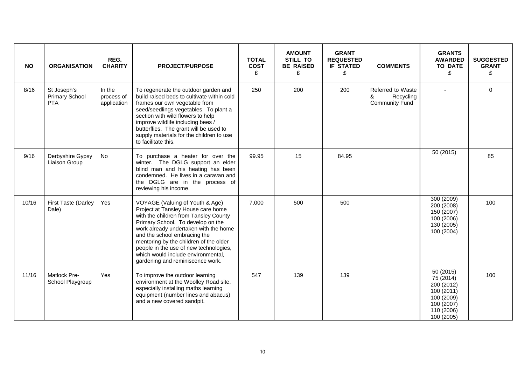| <b>NO</b> | <b>ORGANISATION</b>                                | REG.<br><b>CHARITY</b>              | <b>PROJECT/PURPOSE</b>                                                                                                                                                                                                                                                                                                                                                                     | <b>TOTAL</b><br><b>COST</b><br>£ | <b>AMOUNT</b><br><b>STILL TO</b><br><b>BE RAISED</b><br>£ | <b>GRANT</b><br><b>REQUESTED</b><br><b>IF STATED</b><br>£ | <b>COMMENTS</b>                                              | <b>GRANTS</b><br><b>AWARDED</b><br><b>TO DATE</b><br>£                                                     | <b>SUGGESTED</b><br><b>GRANT</b><br>£ |
|-----------|----------------------------------------------------|-------------------------------------|--------------------------------------------------------------------------------------------------------------------------------------------------------------------------------------------------------------------------------------------------------------------------------------------------------------------------------------------------------------------------------------------|----------------------------------|-----------------------------------------------------------|-----------------------------------------------------------|--------------------------------------------------------------|------------------------------------------------------------------------------------------------------------|---------------------------------------|
| 8/16      | St Joseph's<br><b>Primary School</b><br><b>PTA</b> | In the<br>process of<br>application | To regenerate the outdoor garden and<br>build raised beds to cultivate within cold<br>frames our own vegetable from<br>seed/seedlings vegetables. To plant a<br>section with wild flowers to help<br>improve wildlife including bees /<br>butterflies. The grant will be used to<br>supply materials for the children to use<br>to facilitate this.                                        | 250                              | 200                                                       | 200                                                       | Referred to Waste<br>&<br>Recycling<br><b>Community Fund</b> |                                                                                                            | $\Omega$                              |
| 9/16      | Derbyshire Gypsy<br>Liaison Group                  | No                                  | To purchase a heater for over the<br>winter. The DGLG support an elder<br>blind man and his heating has been<br>condemned. He lives in a caravan and<br>the DGLG are in the process of<br>reviewing his income.                                                                                                                                                                            | 99.95                            | 15                                                        | 84.95                                                     |                                                              | 50 (2015)                                                                                                  | 85                                    |
| 10/16     | First Taste (Darley<br>Dale)                       | Yes                                 | VOYAGE (Valuing of Youth & Age)<br>Project at Tansley House care home<br>with the children from Tansley County<br>Primary School. To develop on the<br>work already undertaken with the home<br>and the school embracing the<br>mentoring by the children of the older<br>people in the use of new technologies,<br>which would include environmental,<br>gardening and reminiscence work. | 7,000                            | 500                                                       | 500                                                       |                                                              | 300 (2009)<br>200 (2008)<br>150 (2007)<br>100 (2006)<br>130 (2005)<br>100 (2004)                           | 100                                   |
| 11/16     | Matlock Pre-<br>School Playgroup                   | Yes                                 | To improve the outdoor learning<br>environment at the Woolley Road site,<br>especially installing maths learning<br>equipment (number lines and abacus)<br>and a new covered sandpit.                                                                                                                                                                                                      | 547                              | 139                                                       | 139                                                       |                                                              | 50 (2015)<br>75 (2014)<br>200 (2012)<br>100 (2011)<br>100 (2009)<br>100 (2007)<br>110 (2006)<br>100 (2005) | 100                                   |